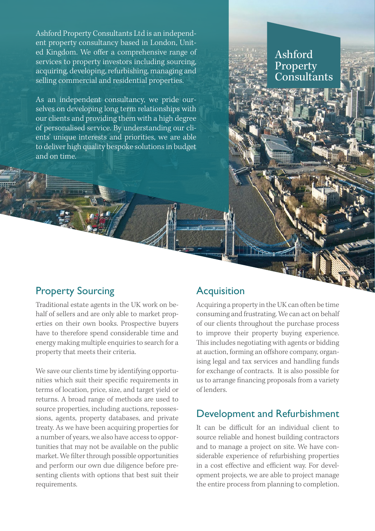Ashford Property Consultants Ltd is an independent property consultancy based in London, United Kingdom. We offer a comprehensive range of services to property investors including sourcing, acquiring, developing, refurbishing, managing and selling commercial and residential properties.

As an independent consultancy, we pride ourselves on developing long term relationships with our clients and providing them with a high degree of personalised service. By understanding our clients' unique interests and priorities, we are able to deliver high quality bespoke solutions in budget and on time.

## Property Sourcing Traditional estate agents in the UK work on be-

half of sellers and are only able to market properties on their own books. Prospective buyers have to therefore spend considerable time and energy making multiple enquiries to search for a property that meets their criteria.

We save our clients time by identifying opportunities which suit their specific requirements in terms of location, price, size, and target yield or returns. A broad range of methods are used to source properties, including auctions, repossessions, agents, property databases, and private treaty. As we have been acquiring properties for a number of years, we also have access to opportunities that may not be available on the public market. We filter through possible opportunities and perform our own due diligence before presenting clients with options that best suit their requirements.

# **Acquisition**

Acquiring a property in the UK can often be time consuming and frustrating. We can act on behalf of our clients throughout the purchase process to improve their property buying experience. This includes negotiating with agents or bidding at auction, forming an offshore company, organising legal and tax services and handling funds for exchange of contracts. It is also possible for us to arrange financing proposals from a variety of lenders.

Ashford

Property Consultants

## Development and Refurbishment

It can be difficult for an individual client to source reliable and honest building contractors and to manage a project on site. We have considerable experience of refurbishing properties in a cost effective and efficient way. For development projects, we are able to project manage the entire process from planning to completion.